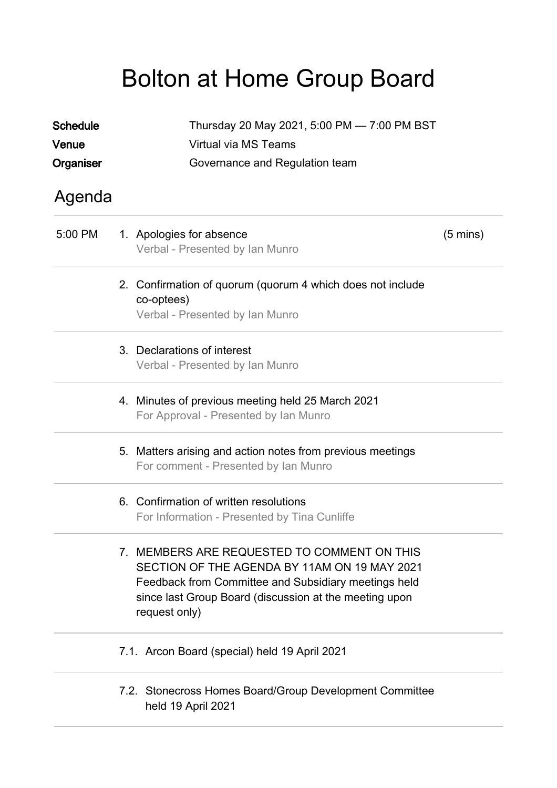## Bolton at Home Group Board

| <b>Schedule</b> | Thursday 20 May 2021, 5:00 PM - 7:00 PM BST                                                                                                                                                                                    |                    |
|-----------------|--------------------------------------------------------------------------------------------------------------------------------------------------------------------------------------------------------------------------------|--------------------|
| Venue           | Virtual via MS Teams                                                                                                                                                                                                           |                    |
| Organiser       | Governance and Regulation team                                                                                                                                                                                                 |                    |
| Agenda          |                                                                                                                                                                                                                                |                    |
| 5:00 PM         | 1. Apologies for absence<br>Verbal - Presented by Ian Munro                                                                                                                                                                    | $(5 \text{ mins})$ |
|                 | 2. Confirmation of quorum (quorum 4 which does not include<br>co-optees)<br>Verbal - Presented by Ian Munro                                                                                                                    |                    |
|                 | 3. Declarations of interest<br>Verbal - Presented by Ian Munro                                                                                                                                                                 |                    |
|                 | 4. Minutes of previous meeting held 25 March 2021<br>For Approval - Presented by Ian Munro                                                                                                                                     |                    |
|                 | 5. Matters arising and action notes from previous meetings<br>For comment - Presented by Ian Munro                                                                                                                             |                    |
|                 | 6. Confirmation of written resolutions<br>For Information - Presented by Tina Cunliffe                                                                                                                                         |                    |
|                 | 7. MEMBERS ARE REQUESTED TO COMMENT ON THIS<br>SECTION OF THE AGENDA BY 11AM ON 19 MAY 2021<br>Feedback from Committee and Subsidiary meetings held<br>since last Group Board (discussion at the meeting upon<br>request only) |                    |
|                 | 7.1. Arcon Board (special) held 19 April 2021                                                                                                                                                                                  |                    |
|                 | 7.2. Stonecross Homes Board/Group Development Committee<br>held 19 April 2021                                                                                                                                                  |                    |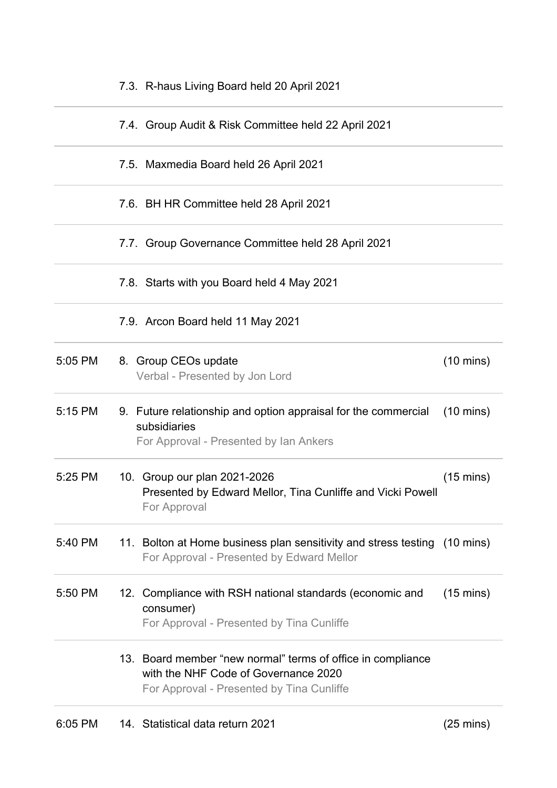|         | 7.3. R-haus Living Board held 20 April 2021                                                                                                      |                     |
|---------|--------------------------------------------------------------------------------------------------------------------------------------------------|---------------------|
|         | 7.4. Group Audit & Risk Committee held 22 April 2021                                                                                             |                     |
|         | 7.5. Maxmedia Board held 26 April 2021                                                                                                           |                     |
|         | 7.6. BH HR Committee held 28 April 2021                                                                                                          |                     |
|         | 7.7. Group Governance Committee held 28 April 2021                                                                                               |                     |
|         | 7.8. Starts with you Board held 4 May 2021                                                                                                       |                     |
|         | 7.9. Arcon Board held 11 May 2021                                                                                                                |                     |
| 5:05 PM | 8. Group CEOs update<br>Verbal - Presented by Jon Lord                                                                                           | $(10 \text{ mins})$ |
| 5:15 PM | 9. Future relationship and option appraisal for the commercial<br>subsidiaries<br>For Approval - Presented by Ian Ankers                         | $(10 \text{ mins})$ |
| 5:25 PM | 10. Group our plan 2021-2026<br>Presented by Edward Mellor, Tina Cunliffe and Vicki Powell<br>For Approval                                       | $(15 \text{ mins})$ |
| 5:40 PM | 11. Bolton at Home business plan sensitivity and stress testing (10 mins)<br>For Approval - Presented by Edward Mellor                           |                     |
| 5:50 PM | 12. Compliance with RSH national standards (economic and<br>consumer)<br>For Approval - Presented by Tina Cunliffe                               | $(15 \text{ mins})$ |
|         | 13. Board member "new normal" terms of office in compliance<br>with the NHF Code of Governance 2020<br>For Approval - Presented by Tina Cunliffe |                     |
|         |                                                                                                                                                  |                     |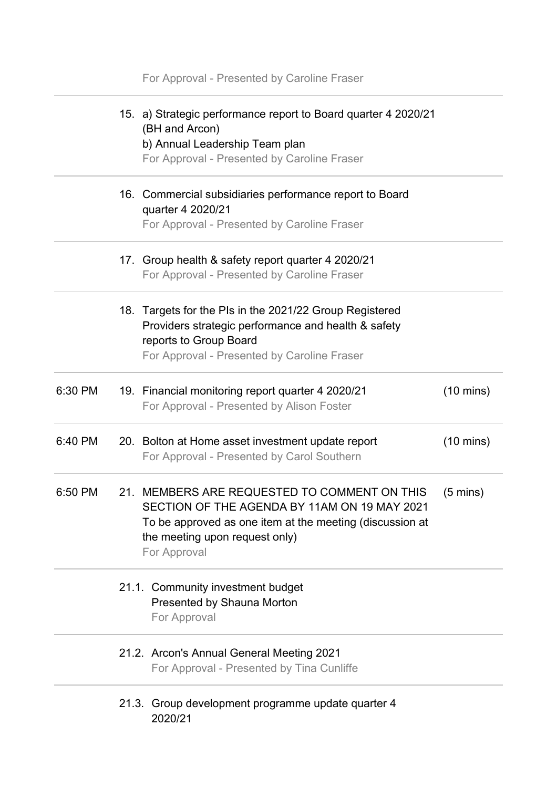|         | For Approval - Presented by Caroline Fraser                                                                                                                                                                |                     |
|---------|------------------------------------------------------------------------------------------------------------------------------------------------------------------------------------------------------------|---------------------|
|         | 15. a) Strategic performance report to Board quarter 4 2020/21<br>(BH and Arcon)<br>b) Annual Leadership Team plan<br>For Approval - Presented by Caroline Fraser                                          |                     |
|         | 16. Commercial subsidiaries performance report to Board<br>quarter 4 2020/21<br>For Approval - Presented by Caroline Fraser                                                                                |                     |
|         | 17. Group health & safety report quarter 4 2020/21<br>For Approval - Presented by Caroline Fraser                                                                                                          |                     |
|         | 18. Targets for the PIs in the 2021/22 Group Registered<br>Providers strategic performance and health & safety<br>reports to Group Board<br>For Approval - Presented by Caroline Fraser                    |                     |
| 6:30 PM | 19. Financial monitoring report quarter 4 2020/21<br>For Approval - Presented by Alison Foster                                                                                                             | $(10 \text{ mins})$ |
| 6:40 PM | 20. Bolton at Home asset investment update report<br>For Approval - Presented by Carol Southern                                                                                                            | $(10 \text{ mins})$ |
| 6:50 PM | 21. MEMBERS ARE REQUESTED TO COMMENT ON THIS<br>SECTION OF THE AGENDA BY 11AM ON 19 MAY 2021<br>To be approved as one item at the meeting (discussion at<br>the meeting upon request only)<br>For Approval | $(5 \text{ mins})$  |
|         | 21.1. Community investment budget<br>Presented by Shauna Morton<br>For Approval                                                                                                                            |                     |
|         | 21.2. Arcon's Annual General Meeting 2021<br>For Approval - Presented by Tina Cunliffe                                                                                                                     |                     |
|         | 21.3. Group development programme update quarter 4<br>2020/21                                                                                                                                              |                     |